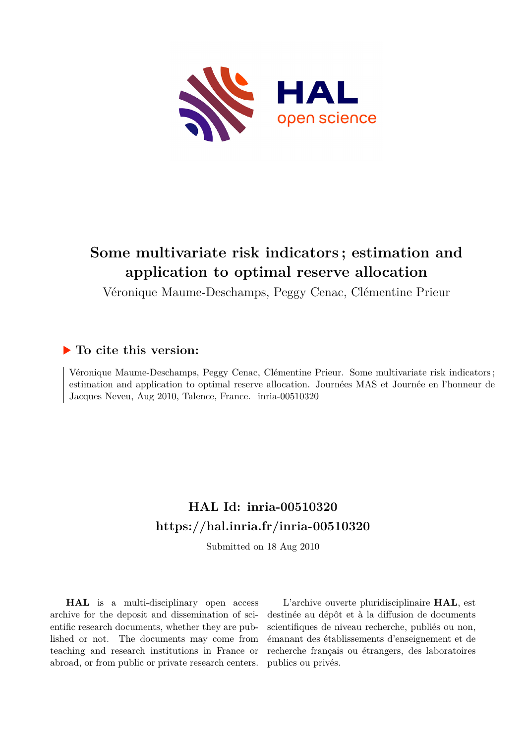

## **Some multivariate risk indicators ; estimation and application to optimal reserve allocation**

Véronique Maume-Deschamps, Peggy Cenac, Clémentine Prieur

## **To cite this version:**

Véronique Maume-Deschamps, Peggy Cenac, Clémentine Prieur. Some multivariate risk indicators ; estimation and application to optimal reserve allocation. Journées MAS et Journée en l'honneur de Jacques Neveu, Aug 2010, Talence, France. inria-00510320

## **HAL Id: inria-00510320 <https://hal.inria.fr/inria-00510320>**

Submitted on 18 Aug 2010

**HAL** is a multi-disciplinary open access archive for the deposit and dissemination of scientific research documents, whether they are published or not. The documents may come from teaching and research institutions in France or abroad, or from public or private research centers.

L'archive ouverte pluridisciplinaire **HAL**, est destinée au dépôt et à la diffusion de documents scientifiques de niveau recherche, publiés ou non, émanant des établissements d'enseignement et de recherche français ou étrangers, des laboratoires publics ou privés.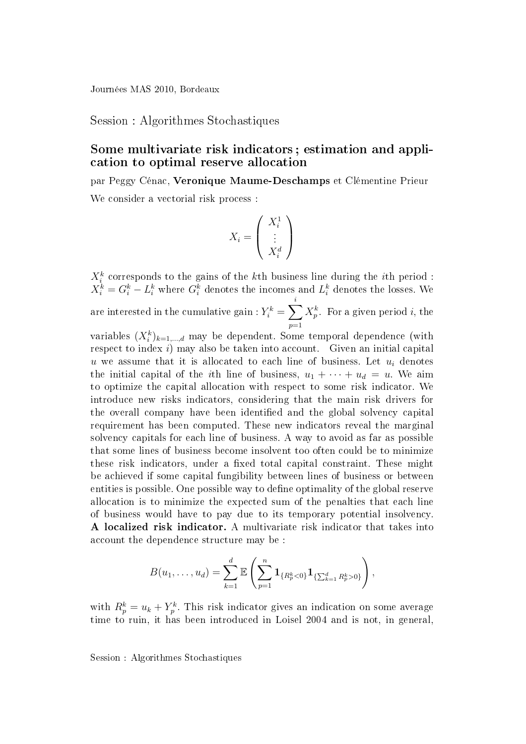Session : Algorithmes Stochastiques

## Some multivariate risk indicators ; estimation and application to optimal reserve allocation

par Peggy Cénac, Veronique Maume-Deschamps et Clémentine Prieur We consider a vectorial risk process :

$$
X_i = \left(\begin{array}{c} X_i^1 \\ \vdots \\ X_i^d \end{array}\right)
$$

 $X_i^k$  corresponds to the gains of the  $k$ th business line during the  $i$ th period :  $X_i^k = G_i^k - L_i^k$  where  $G_i^k$  denotes the incomes and  $L_i^k$  denotes the losses. We are interested in the cumulative gain :  $Y^k_i = \sum$ i  $p=1$  $X_p^k$ . For a given period *i*, the

variables  $(X_i^k)_{k=1,\dots,d}$  may be dependent. Some temporal dependence (with respect to index i) may also be taken into account. Given an initial capital u we assume that it is allocated to each line of business. Let  $u_i$  denotes the initial capital of the *i*th line of business,  $u_1 + \cdots + u_d = u$ . We aim to optimize the capital allocation with respect to some risk indicator. We introduce new risks indicators, considering that the main risk drivers for the overall company have been identified and the global solvency capital requirement has been computed. These new indicators reveal the marginal solvency capitals for each line of business. A way to avoid as far as possible that some lines of business become insolvent too often could be to minimize these risk indicators, under a fixed total capital constraint. These might be achieved if some capital fungibility between lines of business or between entities is possible. One possible way to define optimality of the global reserve allocation is to minimize the expected sum of the penalties that each line of business would have to pay due to its temporary potential insolvency. A localized risk indicator. A multivariate risk indicator that takes into account the dependence structure may be :

$$
B(u_1,\ldots,u_d)=\sum_{k=1}^d\mathbb{E}\left(\sum_{p=1}^n\mathbf{1}_{\{R_p^k<0\}}\mathbf{1}_{\{\sum_{k=1}^d R_p^k>0\}}\right),
$$

with  $R_p^k = u_k + Y_p^k$ . This risk indicator gives an indication on some average time to ruin, it has been introduced in Loisel 2004 and is not, in general,

Session : Algorithmes Stochastiques